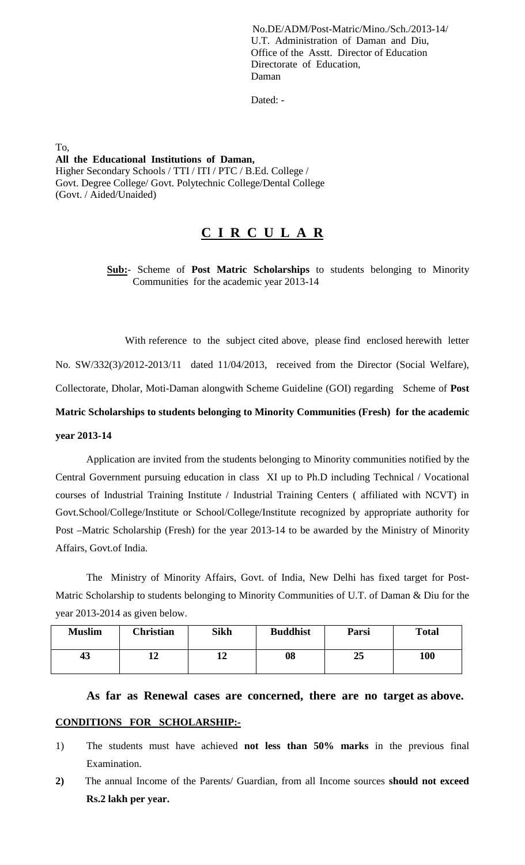No.DE/ADM/Post-Matric/Mino./Sch./2013-14/ U.T. Administration of Daman and Diu, Office of the Asstt. Director of Education Directorate of Education, Daman

Dated: -

To, **All the Educational Institutions of Daman,** Higher Secondary Schools / TTI / ITI / PTC / B.Ed. College / Govt. Degree College/ Govt. Polytechnic College/Dental College (Govt. / Aided/Unaided)

## **C I R C U L A R**

 **Sub:**- Scheme of **Post Matric Scholarships** to students belonging to Minority Communities for the academic year 2013-14

 With reference to the subject cited above, please find enclosed herewith letter No. SW/332(3)/2012-2013/11 dated 11/04/2013, received from the Director (Social Welfare), Collectorate, Dholar, Moti-Daman alongwith Scheme Guideline (GOI) regarding Scheme of **Post Matric Scholarships to students belonging to Minority Communities (Fresh) for the academic year 2013-14**

Application are invited from the students belonging to Minority communities notified by the Central Government pursuing education in class XI up to Ph.D including Technical / Vocational courses of Industrial Training Institute / Industrial Training Centers ( affiliated with NCVT) in Govt.School/College/Institute or School/College/Institute recognized by appropriate authority for Post –Matric Scholarship (Fresh) for the year 2013-14 to be awarded by the Ministry of Minority Affairs, Govt.of India.

The Ministry of Minority Affairs, Govt. of India, New Delhi has fixed target for Post-Matric Scholarship to students belonging to Minority Communities of U.T. of Daman & Diu for the year 2013-2014 as given below.

| <b>Muslim</b> | <b>Christian</b> | <b>Sikh</b> | <b>Buddhist</b> | Parsi | <b>Total</b> |
|---------------|------------------|-------------|-----------------|-------|--------------|
| 43            | ┸ <del></del>    |             | 08              | 25    | 100          |

## **As far as Renewal cases are concerned, there are no target as above.**

## **CONDITIONS FOR SCHOLARSHIP:-**

- 1) The students must have achieved **not less than 50% marks** in the previous final Examination.
- **2)** The annual Income of the Parents/ Guardian, from all Income sources **should not exceed Rs.2 lakh per year.**